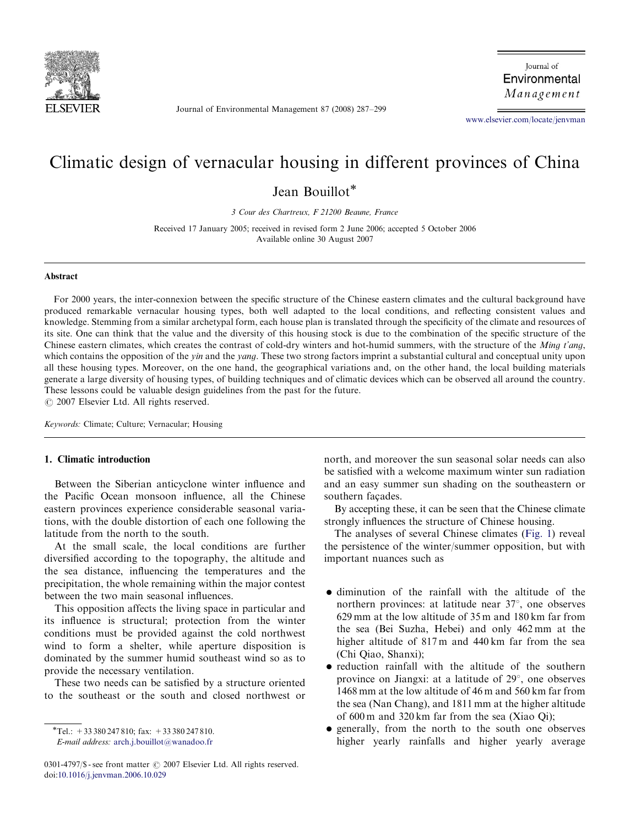

Journal of Environmental Management 87 (2008) 287–299

Journal of Environmental Management

<www.elsevier.com/locate/jenvman>

# Climatic design of vernacular housing in different provinces of China

Jean Bouillot\*

3 Cour des Chartreux, F 21200 Beaune, France

Received 17 January 2005; received in revised form 2 June 2006; accepted 5 October 2006 Available online 30 August 2007

#### Abstract

For 2000 years, the inter-connexion between the specific structure of the Chinese eastern climates and the cultural background have produced remarkable vernacular housing types, both well adapted to the local conditions, and reflecting consistent values and knowledge. Stemming from a similar archetypal form, each house plan is translated through the specificity of the climate and resources of its site. One can think that the value and the diversity of this housing stock is due to the combination of the specific structure of the Chinese eastern climates, which creates the contrast of cold-dry winters and hot-humid summers, with the structure of the Ming t'ang, which contains the opposition of the *yin* and the *yang*. These two strong factors imprint a substantial cultural and conceptual unity upon all these housing types. Moreover, on the one hand, the geographical variations and, on the other hand, the local building materials generate a large diversity of housing types, of building techniques and of climatic devices which can be observed all around the country. These lessons could be valuable design guidelines from the past for the future.

 $\odot$  2007 Elsevier Ltd. All rights reserved.

Keywords: Climate; Culture; Vernacular; Housing

#### 1. Climatic introduction

Between the Siberian anticyclone winter influence and the Pacific Ocean monsoon influence, all the Chinese eastern provinces experience considerable seasonal variations, with the double distortion of each one following the latitude from the north to the south.

At the small scale, the local conditions are further diversified according to the topography, the altitude and the sea distance, influencing the temperatures and the precipitation, the whole remaining within the major contest between the two main seasonal influences.

This opposition affects the living space in particular and its influence is structural; protection from the winter conditions must be provided against the cold northwest wind to form a shelter, while aperture disposition is dominated by the summer humid southeast wind so as to provide the necessary ventilation.

These two needs can be satisfied by a structure oriented to the southeast or the south and closed northwest or north, and moreover the sun seasonal solar needs can also be satisfied with a welcome maximum winter sun radiation and an easy summer sun shading on the southeastern or southern façades.

By accepting these, it can be seen that the Chinese climate strongly influences the structure of Chinese housing.

The analyses of several Chinese climates ([Fig. 1](#page-1-0)) reveal the persistence of the winter/summer opposition, but with important nuances such as

- diminution of the rainfall with the altitude of the northern provinces: at latitude near  $37^{\circ}$ , one observes 629 mm at the low altitude of 35 m and 180 km far from the sea (Bei Suzha, Hebei) and only 462 mm at the higher altitude of 817 m and 440 km far from the sea (Chi Qiao, Shanxi);
- reduction rainfall with the altitude of the southern province on Jiangxi: at a latitude of  $29^{\circ}$ , one observes 1468 mm at the low altitude of 46 m and 560 km far from the sea (Nan Chang), and 1811 mm at the higher altitude of 600 m and 320 km far from the sea (Xiao Qi);
- $\bullet$  generally, from the north to the south one observes higher yearly rainfalls and higher yearly average

 $\overline{\text{F}Tel}$ : +33 380 247 810; fax: +33 380 247 810.

E-mail address: [arch.j.bouillot@wanadoo.fr](mailto:arch.j.bouillot@wanadoo.fr)

<sup>0301-4797/\$ -</sup> see front matter  $\odot$  2007 Elsevier Ltd. All rights reserved. doi:[10.1016/j.jenvman.2006.10.029](dx.doi.org/10.1016/j.jenvman.2006.10.029)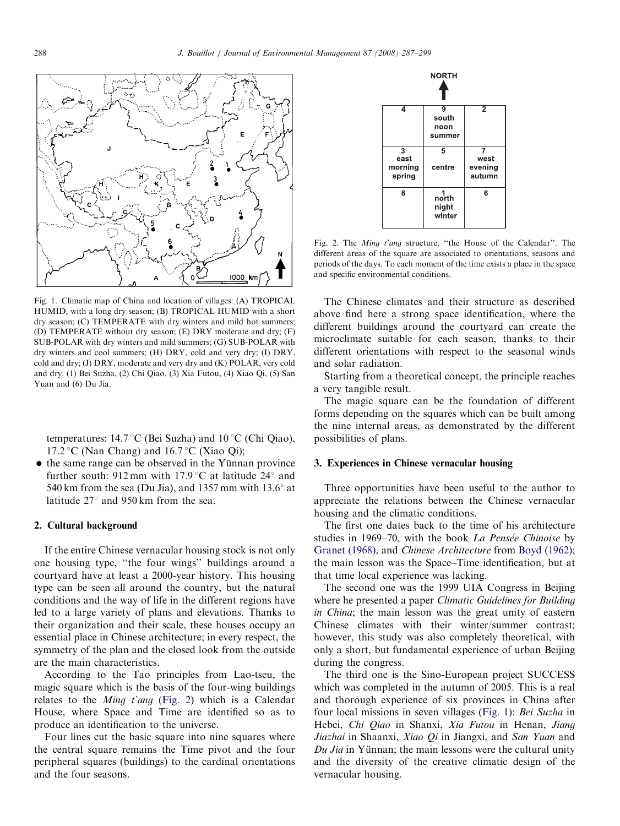<span id="page-1-0"></span>

Fig. 1. Climatic map of China and location of villages: (A) TROPICAL HUMID, with a long dry season; (B) TROPICAL HUMID with a short dry season; (C) TEMPERATE with dry winters and mild hot summers; (D) TEMPERATE without dry season; (E) DRY moderate and dry; (F) SUB-POLAR with dry winters and mild summers; (G) SUB-POLAR with dry winters and cool summers; (H) DRY, cold and very dry; (I) DRY, cold and dry; (J) DRY, moderate and very dry and (K) POLAR, very cold and dry. (1) Bei Suzha, (2) Chi Qiao, (3) Xia Futou, (4) Xiao Qi, (5) San Yuan and (6) Du Jia.

temperatures:  $14.7 \degree C$  (Bei Suzha) and  $10 \degree C$  (Chi Qiao), 17.2 °C (Nan Chang) and 16.7 °C (Xiao Qi);

 $\bullet$  the same range can be observed in the Yünnan province further south: 912 mm with 17.9 °C at latitude 24 $^{\circ}$  and 540 km from the sea (Du Jia), and 1357 mm with  $13.6^{\circ}$  at latitude  $27^{\circ}$  and 950 km from the sea.

### 2. Cultural background

If the entire Chinese vernacular housing stock is not only one housing type, ''the four wings'' buildings around a courtyard have at least a 2000-year history. This housing type can be seen all around the country, but the natural conditions and the way of life in the different regions have led to a large variety of plans and elevations. Thanks to their organization and their scale, these houses occupy an essential place in Chinese architecture; in every respect, the symmetry of the plan and the closed look from the outside are the main characteristics.

According to the Tao principles from Lao-tseu, the magic square which is the basis of the four-wing buildings relates to the Ming t'ang (Fig. 2) which is a Calendar House, where Space and Time are identified so as to produce an identification to the universe.

Four lines cut the basic square into nine squares where the central square remains the Time pivot and the four peripheral squares (buildings) to the cardinal orientations and the four seasons.



Fig. 2. The *Ming t'ang* structure, "the House of the Calendar". The different areas of the square are associated to orientations, seasons and periods of the days. To each moment of the time exists a place in the space and specific environmental conditions.

The Chinese climates and their structure as described above find here a strong space identification, where the different buildings around the courtyard can create the microclimate suitable for each season, thanks to their different orientations with respect to the seasonal winds and solar radiation.

Starting from a theoretical concept, the principle reaches a very tangible result.

The magic square can be the foundation of different forms depending on the squares which can be built among the nine internal areas, as demonstrated by the different possibilities of plans.

#### 3. Experiences in Chinese vernacular housing

Three opportunities have been useful to the author to appreciate the relations between the Chinese vernacular housing and the climatic conditions.

The first one dates back to the time of his architecture studies in 1969–70, with the book La Pensée Chinoise by [Granet \(1968\)](#page--1-0), and Chinese Architecture from [Boyd \(1962\)](#page--1-0); the main lesson was the Space–Time identification, but at that time local experience was lacking.

The second one was the 1999 UIA Congress in Beijing where he presented a paper *Climatic Guidelines for Building* in China; the main lesson was the great unity of eastern Chinese climates with their winter/summer contrast; however, this study was also completely theoretical, with only a short, but fundamental experience of urban Beijing during the congress.

The third one is the Sino-European project SUCCESS which was completed in the autumn of 2005. This is a real and thorough experience of six provinces in China after four local missions in seven villages (Fig. 1): Bei Suzha in Hebei, Chi Qiao in Shanxi, Xia Futou in Henan, Jiang Jiazhai in Shaanxi, Xiao Qi in Jiangxi, and San Yuan and  $Du$  Jia in Yünnan; the main lessons were the cultural unity and the diversity of the creative climatic design of the vernacular housing.